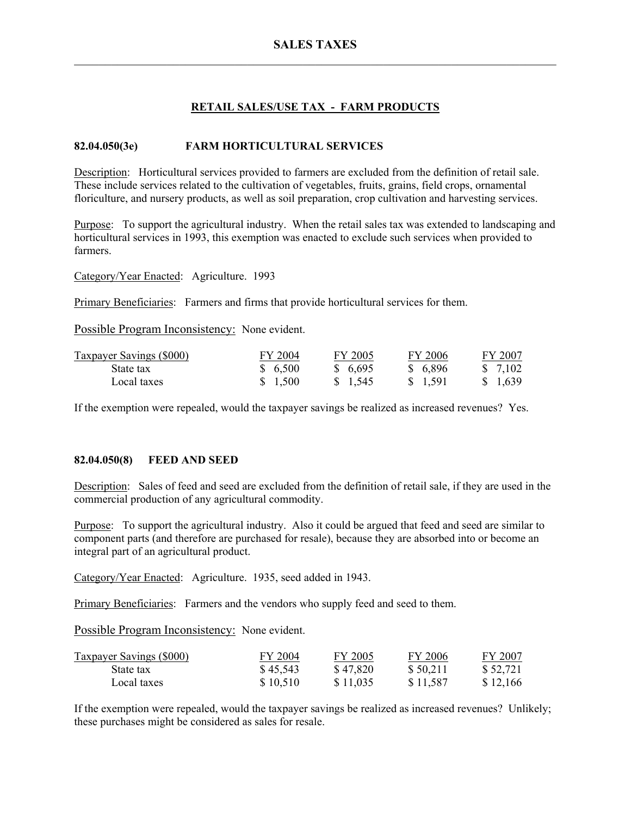# **RETAIL SALES/USE TAX - FARM PRODUCTS**

# **82.04.050(3e) FARM HORTICULTURAL SERVICES**

Description: Horticultural services provided to farmers are excluded from the definition of retail sale. These include services related to the cultivation of vegetables, fruits, grains, field crops, ornamental floriculture, and nursery products, as well as soil preparation, crop cultivation and harvesting services.

Purpose: To support the agricultural industry. When the retail sales tax was extended to landscaping and horticultural services in 1993, this exemption was enacted to exclude such services when provided to farmers.

Category/Year Enacted: Agriculture. 1993

Primary Beneficiaries: Farmers and firms that provide horticultural services for them.

Possible Program Inconsistency: None evident.

| <b>Taxpayer Savings (\$000)</b> | FY 2004  | FY 2005          | FY 2006  | FY 2007  |
|---------------------------------|----------|------------------|----------|----------|
| State tax                       | \$ 6.500 | \$ 6.695         | \$ 6,896 | \$ 7.102 |
| Local taxes                     | \$ 1.500 | $\frac{1545}{ }$ | \$ 1.591 | \$ 1,639 |

If the exemption were repealed, would the taxpayer savings be realized as increased revenues? Yes.

## **82.04.050(8) FEED AND SEED**

Description: Sales of feed and seed are excluded from the definition of retail sale, if they are used in the commercial production of any agricultural commodity.

Purpose: To support the agricultural industry. Also it could be argued that feed and seed are similar to component parts (and therefore are purchased for resale), because they are absorbed into or become an integral part of an agricultural product.

Category/Year Enacted: Agriculture. 1935, seed added in 1943.

Primary Beneficiaries: Farmers and the vendors who supply feed and seed to them.

Possible Program Inconsistency: None evident.

| <b>Taxpayer Savings (\$000)</b> | FY 2004  | FY 2005  | FY 2006  | FY 2007  |
|---------------------------------|----------|----------|----------|----------|
| State tax                       | \$45,543 | \$47,820 | \$50,211 | \$52,721 |
| Local taxes                     | \$10,510 | \$11,035 | \$11,587 | \$12,166 |

If the exemption were repealed, would the taxpayer savings be realized as increased revenues? Unlikely; these purchases might be considered as sales for resale.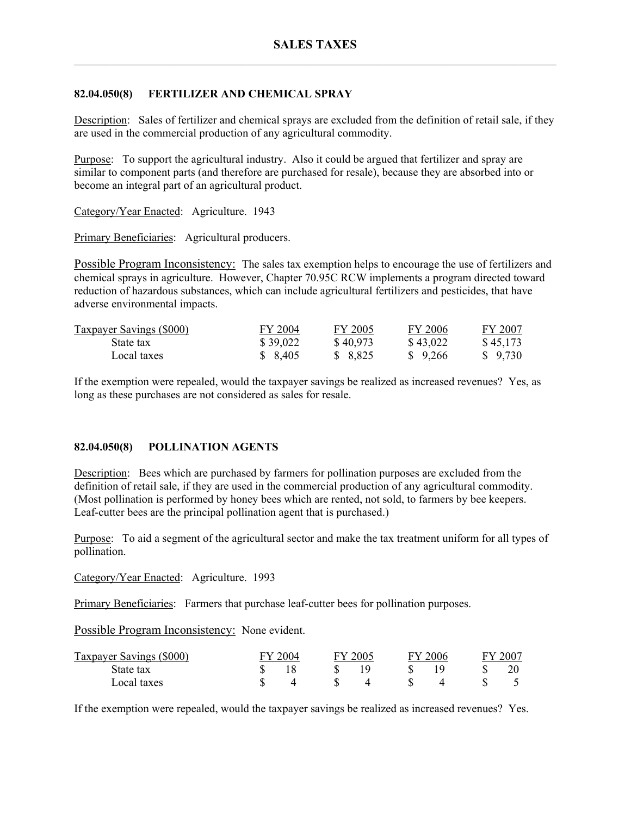# **82.04.050(8) FERTILIZER AND CHEMICAL SPRAY**

Description: Sales of fertilizer and chemical sprays are excluded from the definition of retail sale, if they are used in the commercial production of any agricultural commodity.

Purpose: To support the agricultural industry. Also it could be argued that fertilizer and spray are similar to component parts (and therefore are purchased for resale), because they are absorbed into or become an integral part of an agricultural product.

Category/Year Enacted: Agriculture. 1943

Primary Beneficiaries: Agricultural producers.

Possible Program Inconsistency: The sales tax exemption helps to encourage the use of fertilizers and chemical sprays in agriculture. However, Chapter 70.95C RCW implements a program directed toward reduction of hazardous substances, which can include agricultural fertilizers and pesticides, that have adverse environmental impacts.

| <b>Taxpayer Savings (\$000)</b> | FY 2004  | FY 2005  | FY 2006  | FY 2007  |
|---------------------------------|----------|----------|----------|----------|
| State tax                       | \$39,022 | \$40,973 | \$43,022 | \$45,173 |
| Local taxes                     | \$ 8,405 | \$ 8,825 | \$9,266  | \$9,730  |

If the exemption were repealed, would the taxpayer savings be realized as increased revenues? Yes, as long as these purchases are not considered as sales for resale.

## **82.04.050(8) POLLINATION AGENTS**

Description: Bees which are purchased by farmers for pollination purposes are excluded from the definition of retail sale, if they are used in the commercial production of any agricultural commodity. (Most pollination is performed by honey bees which are rented, not sold, to farmers by bee keepers. Leaf-cutter bees are the principal pollination agent that is purchased.)

Purpose: To aid a segment of the agricultural sector and make the tax treatment uniform for all types of pollination.

Category/Year Enacted: Agriculture. 1993

Primary Beneficiaries: Farmers that purchase leaf-cutter bees for pollination purposes.

Possible Program Inconsistency: None evident.

| Taxpayer Savings (\$000) | 2004 | FY 2005 | 7V. | 2006 | $-200^-$ |
|--------------------------|------|---------|-----|------|----------|
| State tax                |      |         |     |      |          |
| Local taxes              |      |         |     |      |          |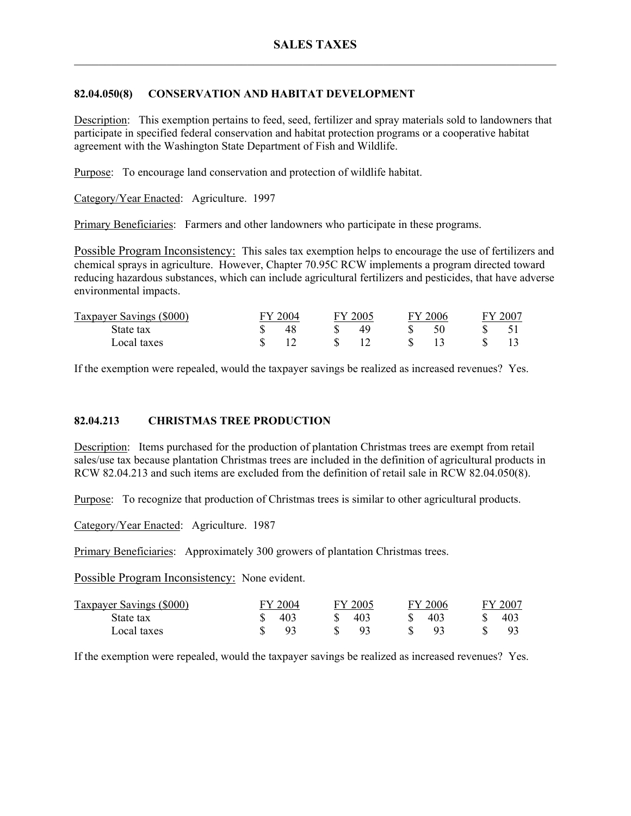# **82.04.050(8) CONSERVATION AND HABITAT DEVELOPMENT**

Description: This exemption pertains to feed, seed, fertilizer and spray materials sold to landowners that participate in specified federal conservation and habitat protection programs or a cooperative habitat agreement with the Washington State Department of Fish and Wildlife.

Purpose: To encourage land conservation and protection of wildlife habitat.

Category/Year Enacted: Agriculture. 1997

Primary Beneficiaries: Farmers and other landowners who participate in these programs.

Possible Program Inconsistency: This sales tax exemption helps to encourage the use of fertilizers and chemical sprays in agriculture. However, Chapter 70.95C RCW implements a program directed toward reducing hazardous substances, which can include agricultural fertilizers and pesticides, that have adverse environmental impacts.

| Taxpayer Savings (\$000) | L'V 1 | 2004 | FY 2005 | EV. | 2006 | 2007 |
|--------------------------|-------|------|---------|-----|------|------|
| State tax                |       |      |         |     |      |      |
| Local taxes              |       |      |         |     |      |      |

If the exemption were repealed, would the taxpayer savings be realized as increased revenues? Yes.

## **82.04.213 CHRISTMAS TREE PRODUCTION**

Description: Items purchased for the production of plantation Christmas trees are exempt from retail sales/use tax because plantation Christmas trees are included in the definition of agricultural products in RCW 82.04.213 and such items are excluded from the definition of retail sale in RCW 82.04.050(8).

Purpose: To recognize that production of Christmas trees is similar to other agricultural products.

Category/Year Enacted: Agriculture. 1987

Primary Beneficiaries: Approximately 300 growers of plantation Christmas trees.

Possible Program Inconsistency: None evident.

| Taxpayer Savings (\$000) | FY 2004 | FY 2005 | FY 2006 | FY 2007      |
|--------------------------|---------|---------|---------|--------------|
| State tax                | 403     | 403     | 403     | $40^{\circ}$ |
| Local taxes              | Q3      |         |         |              |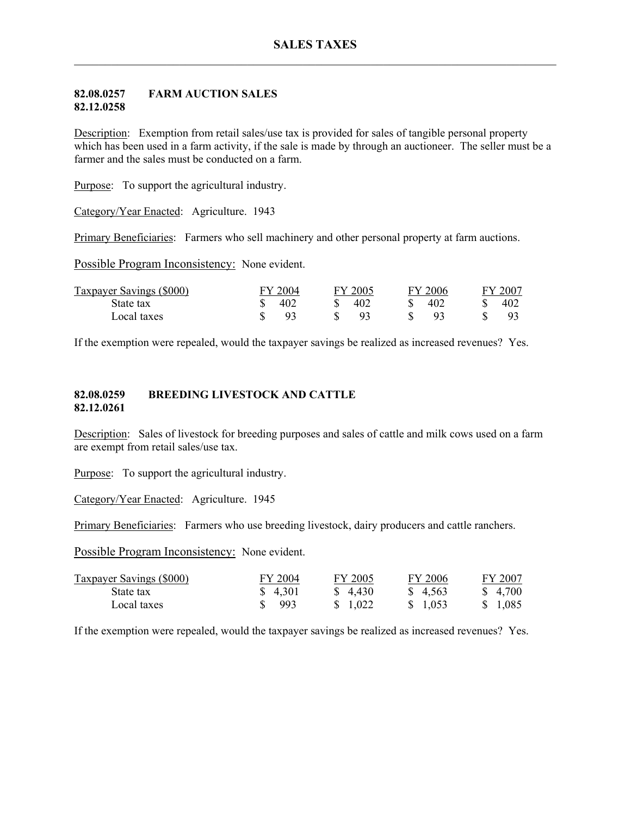### **82.08.0257 FARM AUCTION SALES 82.12.0258**

Description: Exemption from retail sales/use tax is provided for sales of tangible personal property which has been used in a farm activity, if the sale is made by through an auctioneer. The seller must be a farmer and the sales must be conducted on a farm.

Purpose: To support the agricultural industry.

Category/Year Enacted: Agriculture. 1943

Primary Beneficiaries: Farmers who sell machinery and other personal property at farm auctions.

Possible Program Inconsistency: None evident.

| Taxpayer Savings (\$000) | FY 2004 | FY 2005 | FY 2006 | FY 2007    |
|--------------------------|---------|---------|---------|------------|
| State tax                | 402     | 402     | 402     | $40\angle$ |
| Local taxes              | Q2      |         |         |            |

If the exemption were repealed, would the taxpayer savings be realized as increased revenues? Yes.

### **82.08.0259 BREEDING LIVESTOCK AND CATTLE 82.12.0261**

Description: Sales of livestock for breeding purposes and sales of cattle and milk cows used on a farm are exempt from retail sales/use tax.

Purpose: To support the agricultural industry.

Category/Year Enacted: Agriculture. 1945

Primary Beneficiaries: Farmers who use breeding livestock, dairy producers and cattle ranchers.

Possible Program Inconsistency: None evident.

| <b>Taxpayer Savings (\$000)</b> | FY 2004  | FY 2005  | FY 2006  | FY 2007  |
|---------------------------------|----------|----------|----------|----------|
| State tax                       | \$ 4.301 | \$ 4.430 | \$ 4.563 | \$ 4.700 |
| Local taxes                     | \$993    | \$ 1.022 | \$ 1.053 | \$ 1.085 |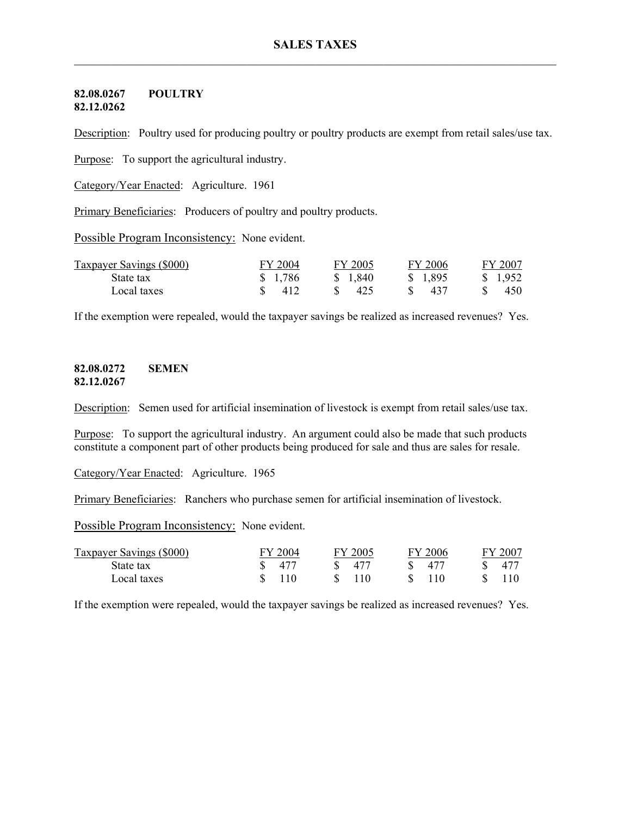#### **82.08.0267 POULTRY 82.12.0262**

Description: Poultry used for producing poultry or poultry products are exempt from retail sales/use tax.

Purpose: To support the agricultural industry.

Category/Year Enacted: Agriculture. 1961

Primary Beneficiaries: Producers of poultry and poultry products.

Possible Program Inconsistency: None evident.

| <b>Taxpayer Savings (\$000)</b> | FY 2004 | FY 2005  | FY 2006  | FY 2007               |
|---------------------------------|---------|----------|----------|-----------------------|
| State tax                       | \$1,786 | \$ 1.840 | \$ 1,895 | $\frac{1.952}{1.952}$ |
| Local taxes                     | 412     | 425      | 437      | 450                   |

If the exemption were repealed, would the taxpayer savings be realized as increased revenues? Yes.

### **82.08.0272 SEMEN 82.12.0267**

Description: Semen used for artificial insemination of livestock is exempt from retail sales/use tax.

Purpose: To support the agricultural industry. An argument could also be made that such products constitute a component part of other products being produced for sale and thus are sales for resale.

Category/Year Enacted: Agriculture. 1965

Primary Beneficiaries: Ranchers who purchase semen for artificial insemination of livestock.

Possible Program Inconsistency: None evident.

| Taxpayer Savings (\$000) | FY 2004 | FY 2005 | FY 2006 | FY 2007         |
|--------------------------|---------|---------|---------|-----------------|
| State tax                |         | 477     | 477     | 47 <sup>7</sup> |
| Local taxes              |         | 110     |         |                 |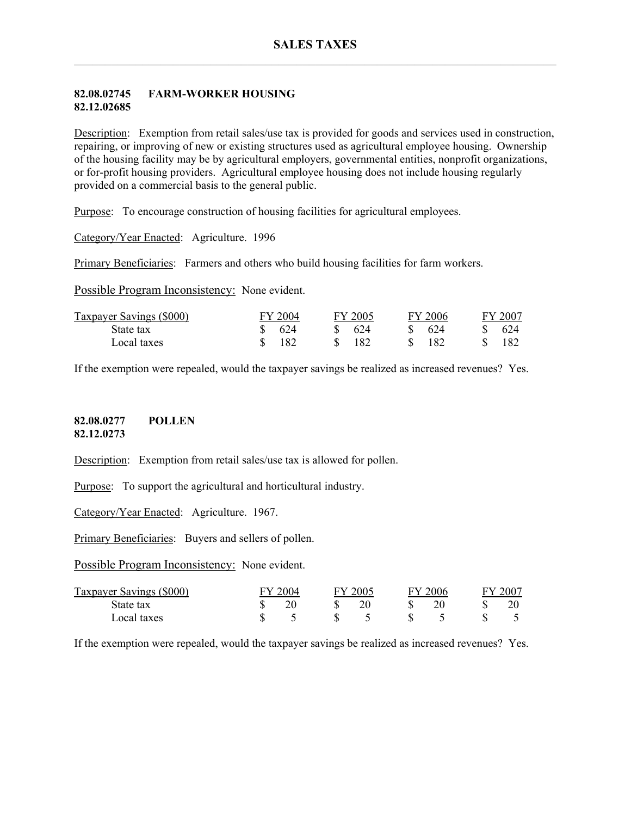## **82.08.02745 FARM-WORKER HOUSING 82.12.02685**

Description: Exemption from retail sales/use tax is provided for goods and services used in construction, repairing, or improving of new or existing structures used as agricultural employee housing. Ownership of the housing facility may be by agricultural employers, governmental entities, nonprofit organizations, or for-profit housing providers. Agricultural employee housing does not include housing regularly provided on a commercial basis to the general public.

Purpose: To encourage construction of housing facilities for agricultural employees.

Category/Year Enacted: Agriculture. 1996

Primary Beneficiaries: Farmers and others who build housing facilities for farm workers.

Possible Program Inconsistency: None evident.

| Taxpayer Savings (\$000) | FY 2004 | FY 2005 | FY 2006 | FY 2007 |
|--------------------------|---------|---------|---------|---------|
| State tax                | 624     | 624     | 624     | 624     |
| Local taxes              | 182     | 182     | 182     | 182     |

If the exemption were repealed, would the taxpayer savings be realized as increased revenues? Yes.

### **82.08.0277 POLLEN 82.12.0273**

Description: Exemption from retail sales/use tax is allowed for pollen.

Purpose: To support the agricultural and horticultural industry.

Category/Year Enacted: Agriculture. 1967.

Primary Beneficiaries: Buyers and sellers of pollen.

Possible Program Inconsistency: None evident.

| Taxpayer Savings (\$000) | 2004 | 2005 | EV | 2006 | $200^-$ |
|--------------------------|------|------|----|------|---------|
| State tax                |      |      |    |      |         |
| Local taxes              |      |      |    |      |         |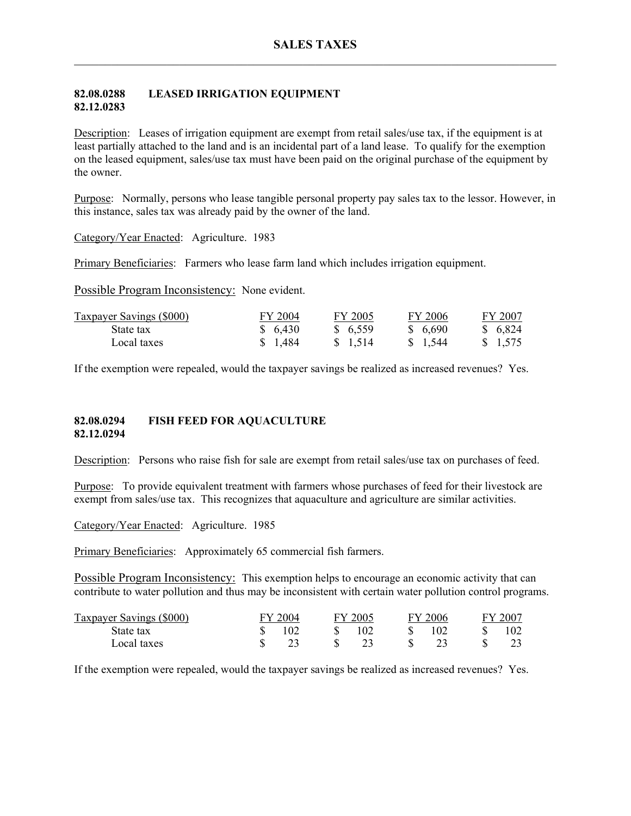## **82.08.0288 LEASED IRRIGATION EQUIPMENT 82.12.0283**

Description: Leases of irrigation equipment are exempt from retail sales/use tax, if the equipment is at least partially attached to the land and is an incidental part of a land lease. To qualify for the exemption on the leased equipment, sales/use tax must have been paid on the original purchase of the equipment by the owner.

Purpose: Normally, persons who lease tangible personal property pay sales tax to the lessor. However, in this instance, sales tax was already paid by the owner of the land.

Category/Year Enacted: Agriculture. 1983

Primary Beneficiaries: Farmers who lease farm land which includes irrigation equipment.

Possible Program Inconsistency: None evident.

| <b>Taxpayer Savings (\$000)</b> | FY 2004 | FY 2005 | FY 2006  | FY 2007 |
|---------------------------------|---------|---------|----------|---------|
| State tax                       | \$6,430 | \$6,559 | \$ 6,690 | \$6,824 |
| Local taxes                     | \$1,484 | \$1,514 | \$ 1.544 | \$1,575 |

If the exemption were repealed, would the taxpayer savings be realized as increased revenues? Yes.

### **82.08.0294 FISH FEED FOR AQUACULTURE 82.12.0294**

Description: Persons who raise fish for sale are exempt from retail sales/use tax on purchases of feed.

Purpose: To provide equivalent treatment with farmers whose purchases of feed for their livestock are exempt from sales/use tax. This recognizes that aquaculture and agriculture are similar activities.

Category/Year Enacted: Agriculture. 1985

Primary Beneficiaries: Approximately 65 commercial fish farmers.

Possible Program Inconsistency: This exemption helps to encourage an economic activity that can contribute to water pollution and thus may be inconsistent with certain water pollution control programs.

| Taxpayer Savings (\$000) | FY 2004 | FY 2005 | FY 2006 | FY 2007 |
|--------------------------|---------|---------|---------|---------|
| State tax                | 102     | 102     | 102     | 102     |
| Local taxes              |         |         |         |         |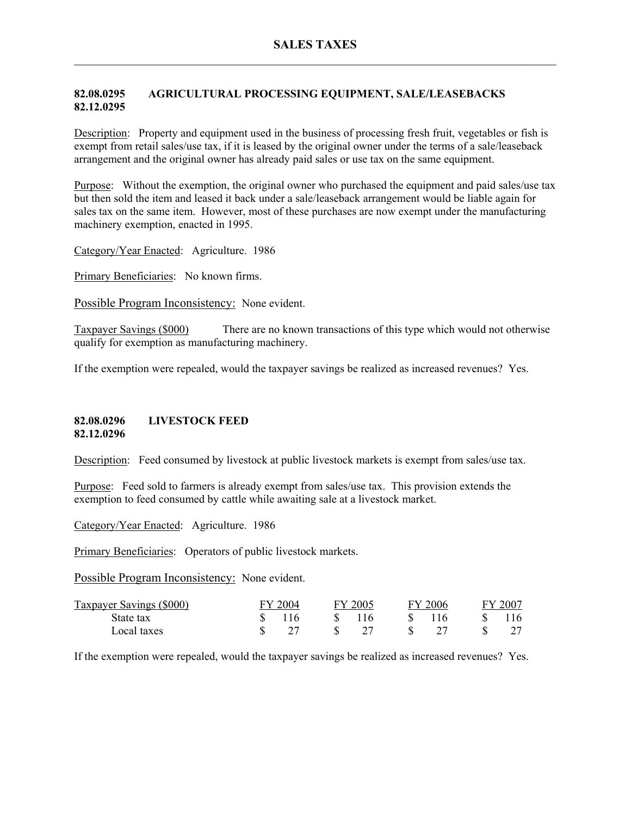# **82.08.0295 AGRICULTURAL PROCESSING EQUIPMENT, SALE/LEASEBACKS 82.12.0295**

Description: Property and equipment used in the business of processing fresh fruit, vegetables or fish is exempt from retail sales/use tax, if it is leased by the original owner under the terms of a sale/leaseback arrangement and the original owner has already paid sales or use tax on the same equipment.

Purpose: Without the exemption, the original owner who purchased the equipment and paid sales/use tax but then sold the item and leased it back under a sale/leaseback arrangement would be liable again for sales tax on the same item. However, most of these purchases are now exempt under the manufacturing machinery exemption, enacted in 1995.

Category/Year Enacted: Agriculture. 1986

Primary Beneficiaries: No known firms.

Possible Program Inconsistency: None evident.

Taxpayer Savings (\$000) There are no known transactions of this type which would not otherwise qualify for exemption as manufacturing machinery.

If the exemption were repealed, would the taxpayer savings be realized as increased revenues? Yes.

### **82.08.0296 LIVESTOCK FEED 82.12.0296**

Description: Feed consumed by livestock at public livestock markets is exempt from sales/use tax.

Purpose: Feed sold to farmers is already exempt from sales/use tax. This provision extends the exemption to feed consumed by cattle while awaiting sale at a livestock market.

Category/Year Enacted: Agriculture. 1986

Primary Beneficiaries: Operators of public livestock markets.

Possible Program Inconsistency: None evident.

| Taxpayer Savings (\$000) | FY 2004 |    | FY 2005 | EV. | $\frac{1}{2006}$ | FY 2007 |
|--------------------------|---------|----|---------|-----|------------------|---------|
| State tax                |         | S. | 116     |     | 116              |         |
| Local taxes              | - 77    | -S |         | - S |                  |         |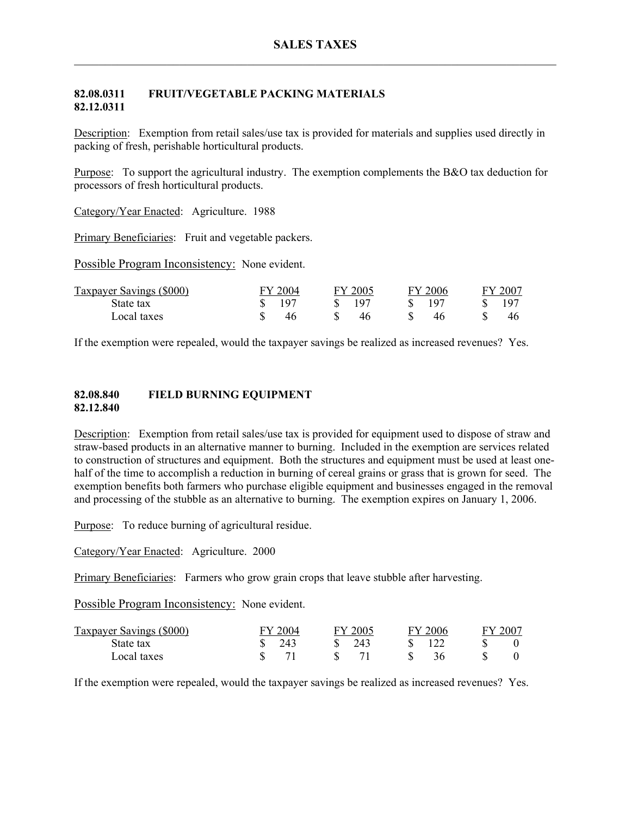## **82.08.0311 FRUIT/VEGETABLE PACKING MATERIALS 82.12.0311**

Description: Exemption from retail sales/use tax is provided for materials and supplies used directly in packing of fresh, perishable horticultural products.

Purpose: To support the agricultural industry. The exemption complements the B&O tax deduction for processors of fresh horticultural products.

Category/Year Enacted: Agriculture. 1988

Primary Beneficiaries: Fruit and vegetable packers.

Possible Program Inconsistency: None evident.

| Taxpayer Savings (\$000) | FY 2004 | FY 2005 | FY 2006         | . 2007 |
|--------------------------|---------|---------|-----------------|--------|
| State tax                | 197     | 197     | 10 <sup>7</sup> | 19°    |
| Local taxes              |         |         | 46              | 46     |

If the exemption were repealed, would the taxpayer savings be realized as increased revenues? Yes.

#### **82.08.840 FIELD BURNING EQUIPMENT 82.12.840**

Description: Exemption from retail sales/use tax is provided for equipment used to dispose of straw and straw-based products in an alternative manner to burning. Included in the exemption are services related to construction of structures and equipment. Both the structures and equipment must be used at least onehalf of the time to accomplish a reduction in burning of cereal grains or grass that is grown for seed. The exemption benefits both farmers who purchase eligible equipment and businesses engaged in the removal and processing of the stubble as an alternative to burning. The exemption expires on January 1, 2006.

Purpose: To reduce burning of agricultural residue.

Category/Year Enacted: Agriculture. 2000

Primary Beneficiaries: Farmers who grow grain crops that leave stubble after harvesting.

Possible Program Inconsistency: None evident.

| Taxpayer Savings (\$000) | 2004 | FY 2005 | 2006<br>GV. | FY 200 |
|--------------------------|------|---------|-------------|--------|
| State tax                | 243  | 243     |             |        |
| Local taxes              |      |         |             |        |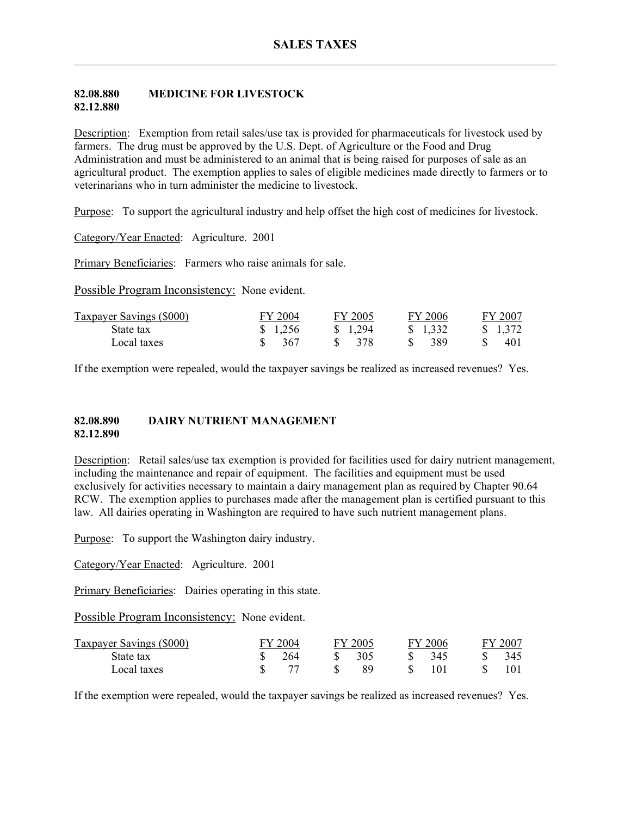#### **82.08.880 MEDICINE FOR LIVESTOCK 82.12.880**

Description: Exemption from retail sales/use tax is provided for pharmaceuticals for livestock used by farmers. The drug must be approved by the U.S. Dept. of Agriculture or the Food and Drug Administration and must be administered to an animal that is being raised for purposes of sale as an agricultural product. The exemption applies to sales of eligible medicines made directly to farmers or to veterinarians who in turn administer the medicine to livestock.

Purpose: To support the agricultural industry and help offset the high cost of medicines for livestock.

Category/Year Enacted: Agriculture. 2001

Primary Beneficiaries: Farmers who raise animals for sale.

Possible Program Inconsistency: None evident.

| <b>Taxpayer Savings (\$000)</b> | FY 2004 | FY 2005 | FY 2006           | FY 2007           |
|---------------------------------|---------|---------|-------------------|-------------------|
| State tax                       | \$1,256 | \$1,294 | $\frac{1.332}{ }$ | $\frac{1.372}{ }$ |
| Local taxes                     | 367     | - 378   | 389               | 401               |

If the exemption were repealed, would the taxpayer savings be realized as increased revenues? Yes.

#### **82.08.890 DAIRY NUTRIENT MANAGEMENT 82.12.890**

Description: Retail sales/use tax exemption is provided for facilities used for dairy nutrient management, including the maintenance and repair of equipment. The facilities and equipment must be used exclusively for activities necessary to maintain a dairy management plan as required by Chapter 90.64 RCW. The exemption applies to purchases made after the management plan is certified pursuant to this law. All dairies operating in Washington are required to have such nutrient management plans.

Purpose: To support the Washington dairy industry.

Category/Year Enacted: Agriculture. 2001

Primary Beneficiaries: Dairies operating in this state.

Possible Program Inconsistency: None evident.

| <b>Taxpayer Savings (\$000)</b> | FY 2004 | FY 2005 |    | FY 2006 | FY 2007 |
|---------------------------------|---------|---------|----|---------|---------|
| State tax                       | 264     | 305     | S. | -345    | 345     |
| Local taxes                     |         |         |    |         |         |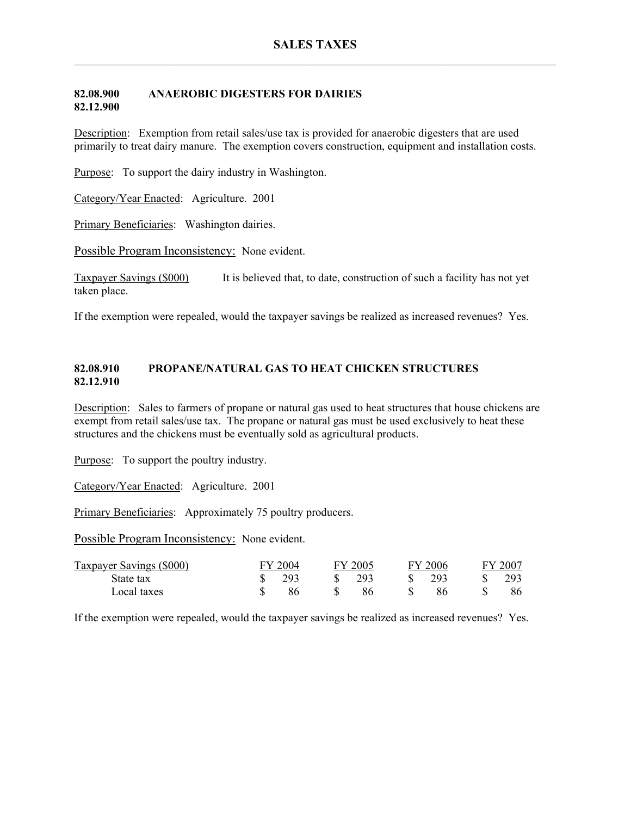### **82.08.900 ANAEROBIC DIGESTERS FOR DAIRIES 82.12.900**

Description: Exemption from retail sales/use tax is provided for anaerobic digesters that are used primarily to treat dairy manure. The exemption covers construction, equipment and installation costs.

Purpose: To support the dairy industry in Washington.

Category/Year Enacted: Agriculture. 2001

Primary Beneficiaries: Washington dairies.

Possible Program Inconsistency: None evident.

Taxpayer Savings (\$000) It is believed that, to date, construction of such a facility has not yet taken place.

If the exemption were repealed, would the taxpayer savings be realized as increased revenues? Yes.

## **82.08.910 PROPANE/NATURAL GAS TO HEAT CHICKEN STRUCTURES 82.12.910**

Description: Sales to farmers of propane or natural gas used to heat structures that house chickens are exempt from retail sales/use tax. The propane or natural gas must be used exclusively to heat these structures and the chickens must be eventually sold as agricultural products.

Purpose: To support the poultry industry.

Category/Year Enacted: Agriculture. 2001

Primary Beneficiaries: Approximately 75 poultry producers.

Possible Program Inconsistency: None evident.

| Taxpayer Savings (\$000) | FY 2004 | FY 2005 |      | FY 2006 | FY 2007 |
|--------------------------|---------|---------|------|---------|---------|
| State tax                | 293     | 293     | -SS- | -293    | 293     |
| Local taxes              | 86      |         |      |         | 86      |